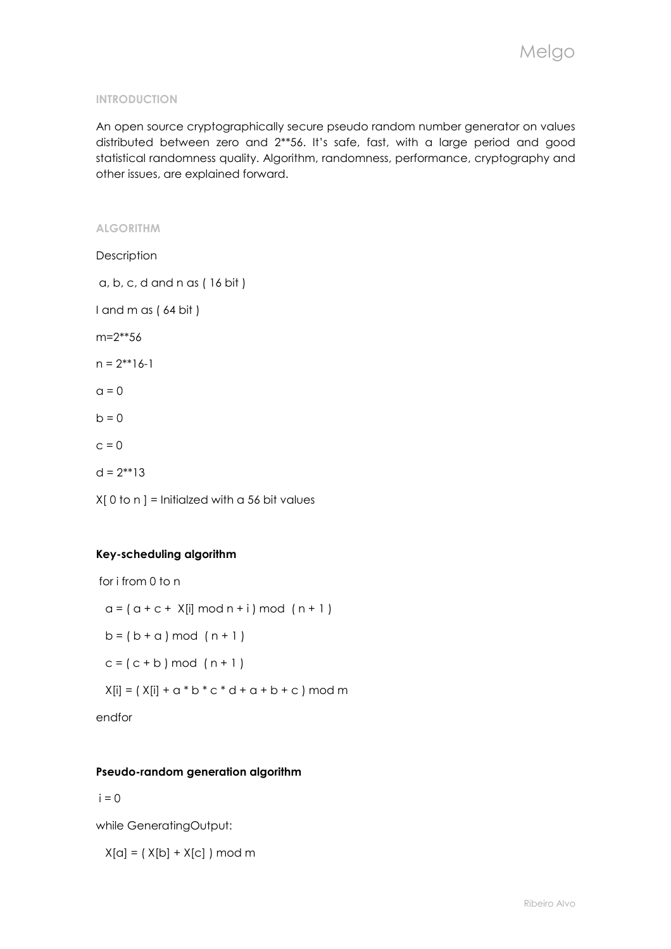### INTRODUCTION

An open source cryptographically secure pseudo random number generator on values distributed between zero and 2\*\*56. It's safe, fast, with a large period and good statistical randomness quality. Algorithm, randomness, performance, cryptography and other issues, are explained forward.

# ALGORITHM

**Description**  a, b, c, d and n as ( 16 bit ) I and m as ( 64 bit ) m=2\*\*56  $n = 2^{**}16-1$  $a = 0$  $h = 0$  $c = 0$  $d = 2^{**}13$  $X[0]$  to n ] = Initialzed with a 56 bit values

## Key-scheduling algorithm

```
 for i from 0 to n 
 a = (a + c + X[i] \mod n + i) \mod (n + 1)b = (b + a) \mod (n + 1)c = (c + b) \mod (n + 1)X[i] = (X[i] + a * b * c * d + a + b + c) \text{ mod } m
```
endfor

## Pseudo-random generation algorithm

 $i = 0$ 

while GeneratingOutput:

 $X[a] = (X[b] + X[c]) \mod m$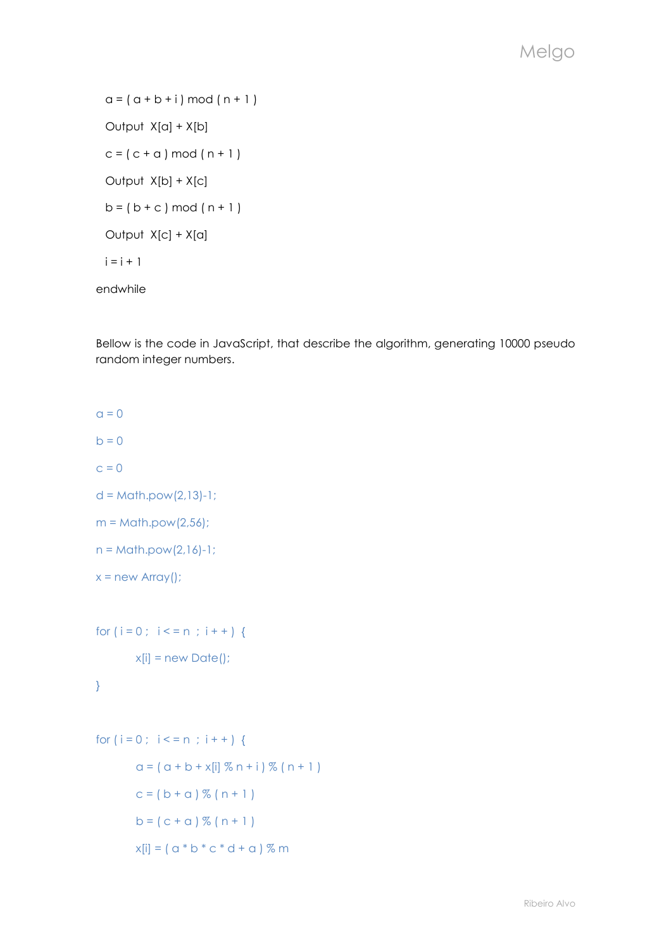$a = (a + b + i) \mod (n + 1)$ Output  $X[a] + X[b]$  $c = (c + a) \mod (n + 1)$ Output  $X[b] + X[c]$  $b = (b + c) \mod (n + 1)$  Output X[c] + X[a]  $i = i + 1$ endwhile

Bellow is the code in JavaScript, that describe the algorithm, generating 10000 pseudo random integer numbers.

```
a = 0b = 0c = 0d = Math.pow(2,13)-1;m = \text{Math.pow}(2,56);n = Math.pow(2,16)-1;x = new Array();
for (i = 0; i < = n; i++) {
       x[i] = new Date();
} 
for (i = 0; i < n; i++)a = (a + b + x[i] \, % n + i) \, % (n + 1)c = (b + a) \% (n + 1)b = (c + a) \% (n + 1)x[i] = (a * b * c * d + a) % m
```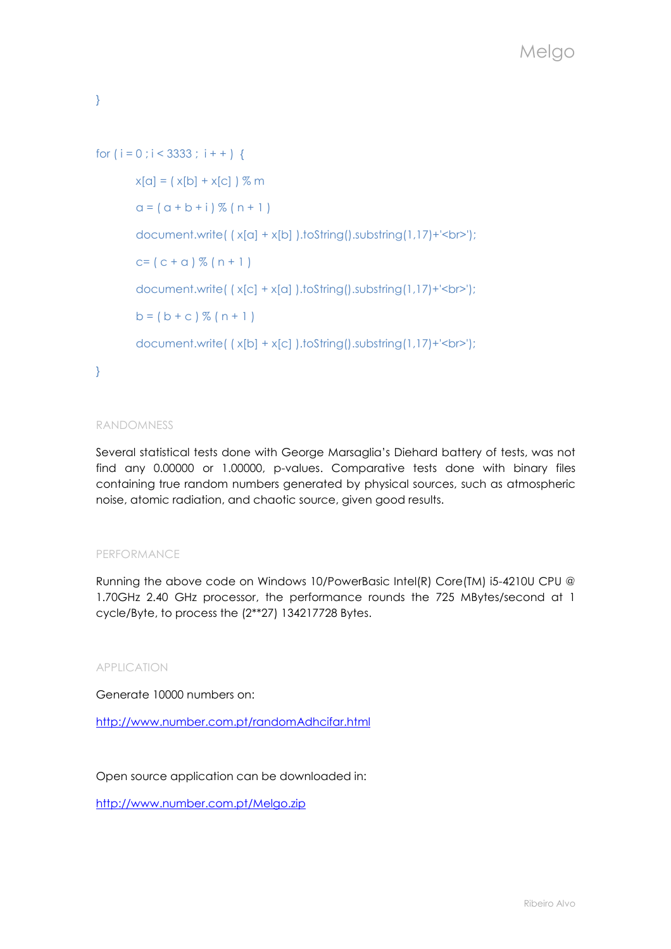}

```
for (i = 0; i < 3333; i++)x[a] = (x[b] + x[c]) % m
       a = (a + b + i) \% (n + 1)document.write( ( x[a] + x[b] ).toString().substring(1,17)+'<br>');
       c = (c + a) \% (n + 1)document.write( ( x[c] + x[a] ).toString().substring(1,17)+'<br>');
       b = (b + c) \% (n + 1)document.write( ( x[b] + x[c] ).toString().substring(1,17)+'<br>');
```
}

## RANDOMNESS

Several statistical tests done with George Marsaglia's Diehard battery of tests, was not find any 0.00000 or 1.00000, p-values. Comparative tests done with binary files containing true random numbers generated by physical sources, such as atmospheric noise, atomic radiation, and chaotic source, given good results.

## PERFORMANCE

Running the above code on Windows 10/PowerBasic Intel(R) Core(TM) i5-4210U CPU @ 1.70GHz 2.40 GHz processor, the performance rounds the 725 MBytes/second at 1 cycle/Byte, to process the (2\*\*27) 134217728 Bytes.

## APPLICATION

Generate 10000 numbers on:

http://www.number.com.pt/randomAdhcifar.html

Open source application can be downloaded in:

http://www.number.com.pt/Melgo.zip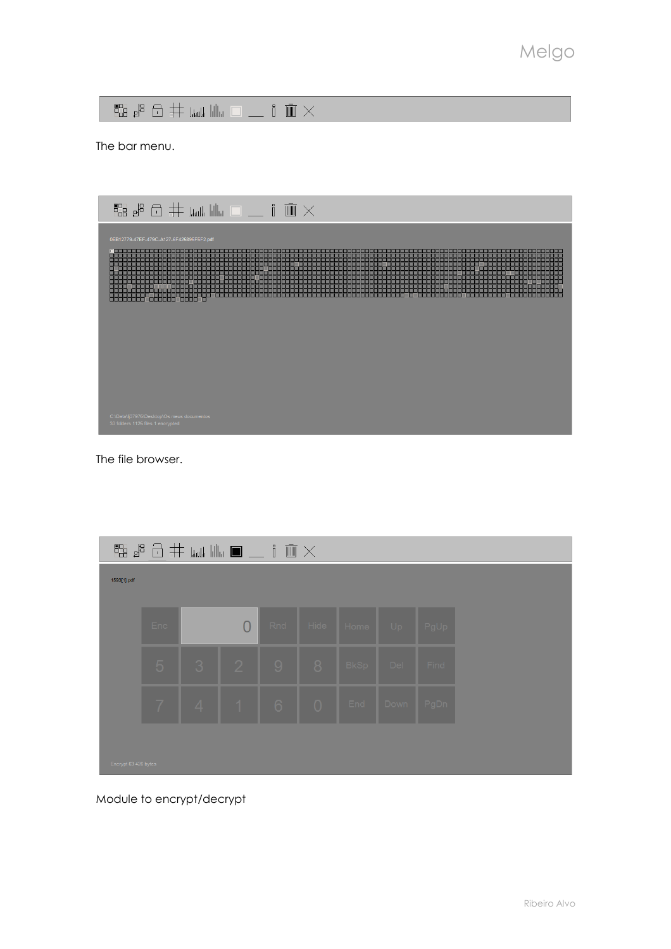$\begin{array}{lll} \mathbb{C} & \mathbb{C} & \mathbb{C} & \mathbb{C} \\ \mathbb{C} & \mathbb{C} & \mathbb{C} & \mathbb{C} \\ \mathbb{C} & \mathbb{C} & \mathbb{C} & \mathbb{C} \end{array} \begin{array}{lll} \mathbb{C} & \mathbb{C} & \mathbb{C} & \mathbb{C} \\ \mathbb{C} & \mathbb{C} & \mathbb{C} & \mathbb{C} \\ \mathbb{C} & \mathbb{C} & \mathbb{C} & \mathbb{C} \end{array}$ 

The bar menu.



The file browser.

| $\mathbb{E} \mathbb{E} \mathbb{E} \oplus \mathbb{E} \mathbb{E} \mathbb{E} \mathbb{E} \mathbb{E} \mathbb{E} \mathbb{E} \mathbb{E} \mathbb{E} \mathbb{E} \mathbb{E} \mathbb{E} \mathbb{E} \mathbb{E} \mathbb{E} \mathbb{E} \mathbb{E} \mathbb{E} \mathbb{E} \mathbb{E} \mathbb{E} \mathbb{E} \mathbb{E} \mathbb{E} \mathbb{E} \mathbb{E} \mathbb{E} \mathbb{E} \mathbb{E} \mathbb{E} \mathbb{E} \mathbb{E} \mathbb{E} \$ |                |                 |           |                       |  |                  |           |      |  |  |
|------------------------------------------------------------------------------------------------------------------------------------------------------------------------------------------------------------------------------------------------------------------------------------------------------------------------------------------------------------------------------------------------------------------------|----------------|-----------------|-----------|-----------------------|--|------------------|-----------|------|--|--|
| 1593[1].pdf                                                                                                                                                                                                                                                                                                                                                                                                            |                |                 |           |                       |  |                  |           |      |  |  |
|                                                                                                                                                                                                                                                                                                                                                                                                                        |                |                 |           |                       |  |                  |           |      |  |  |
|                                                                                                                                                                                                                                                                                                                                                                                                                        | Enc.           |                 | $\bigcap$ |                       |  | Rnd Hide Home Up |           | PgUp |  |  |
|                                                                                                                                                                                                                                                                                                                                                                                                                        | $\sqrt{5}$     | $\vert 3 \vert$ |           | 12198                 |  | BkSp Del         |           | Find |  |  |
|                                                                                                                                                                                                                                                                                                                                                                                                                        | $\overline{7}$ |                 |           | $4$   1   6   0   End |  |                  | Down PgDn |      |  |  |
| Encrypt 63 426 bytes                                                                                                                                                                                                                                                                                                                                                                                                   |                |                 |           |                       |  |                  |           |      |  |  |

Module to encrypt/decrypt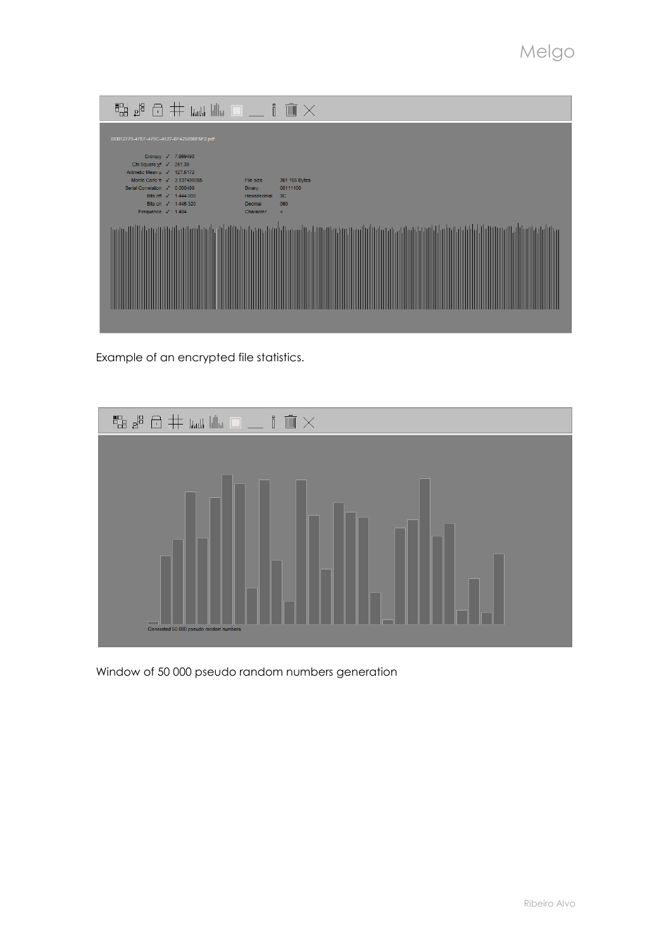| ■ 晶晶白井 回唱                                                                                   |                                     | $\bar{m} \times$           |
|---------------------------------------------------------------------------------------------|-------------------------------------|----------------------------|
| 0EB12779-47EF-479C-A127-6F425895F5F2.pdf                                                    |                                     |                            |
| Entropy / 7.999498<br>Chi Square $\chi^2$ $\checkmark$ 251.38                               |                                     |                            |
| Aritmetic Mean µ √ 127.5172<br>Monte Carlo π / 3.137498055<br>Serial Correlation / 0.000499 | File size<br>Binary                 | 361 165 Bytes<br>00111100  |
| Bits off √ 1444 000<br>Bits on √ 1445 320<br>Frequence √ 1404                               | Hexadecimal<br>Decimal<br>Character | 3 <sub>C</sub><br>060<br>× |
|                                                                                             |                                     |                            |
|                                                                                             |                                     |                            |
|                                                                                             |                                     |                            |
|                                                                                             |                                     |                            |
|                                                                                             |                                     |                            |

Example of an encrypted file statistics.



Window of 50 000 pseudo random numbers generation